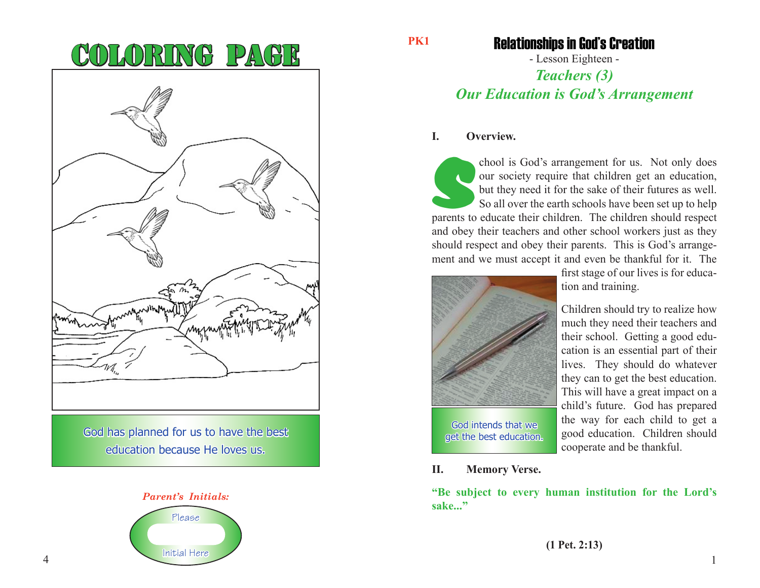| W1,                                                                       |
|---------------------------------------------------------------------------|
| God has planned for us to have the best<br>education because He loves us. |



**PK1**

## Relationships in God's Creation

- Lesson Eighteen -

## *Teachers (3) Our Education is God's Arrangement*

#### **I. Overview.**

chool is God's arrangement for us. Not only does<br>our society require that children get an education,<br>but they need it for the sake of their futures as well.<br>So all over the earth schools have been set up to help<br>parents to our society require that children get an education, but they need it for the sake of their futures as well. So all over the earth schools have been set up to help parents to educate their children. The children should respect and obey their teachers and other school workers just as they should respect and obey their parents. This is God's arrangement and we must accept it and even be thankful for it. The



first stage of our lives is for education and training.

Children should try to realize how much they need their teachers and their school. Getting a good education is an essential part of their lives. They should do whatever they can to get the best education. This will have a great impact on a child's future. God has prepared the way for each child to get a good education. Children should cooperate and be thankful.

**II. Memory Verse.**

**"Be subject to every human institution for the Lord's sake..."**